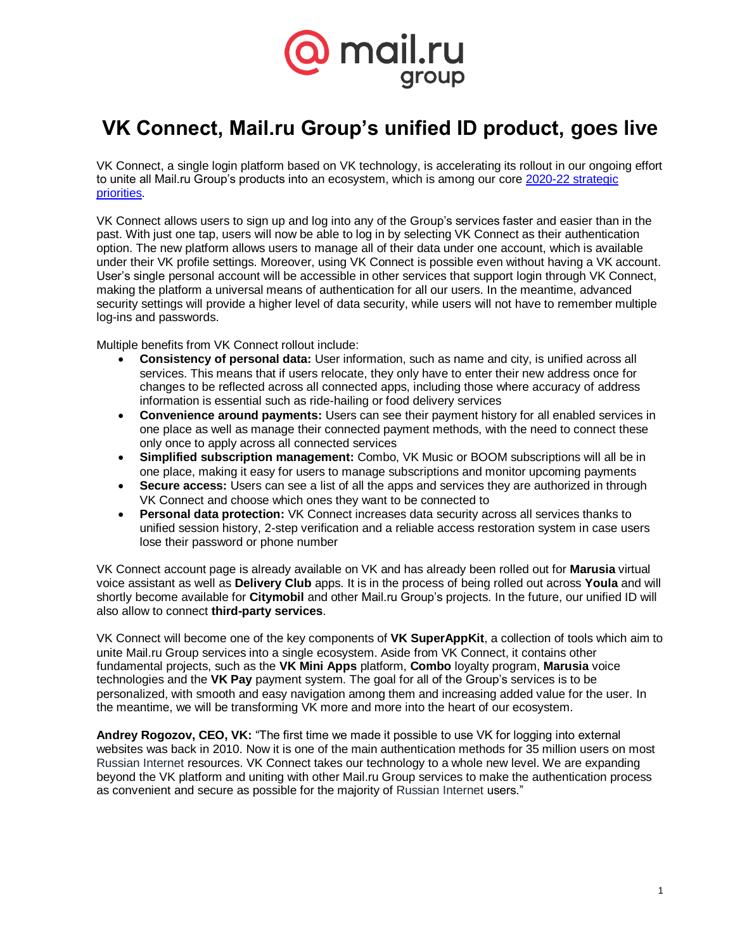

## **VK Connect, Mail.ru Group's unified ID product, goes live**

VK Connect, a single login platform based on VK technology, is accelerating its rollout in our ongoing effort to unite all Mail.ru Group's products into an ecosystem, which is among our core [2020-22 strategic](https://corp.imgsmail.ru/media/files/strategy2020-22.pdf)  [priorities.](https://corp.imgsmail.ru/media/files/strategy2020-22.pdf)

VK Connect allows users to sign up and log into any of the Group's services faster and easier than in the past. With just one tap, users will now be able to log in by selecting VK Connect as their authentication option. The new platform allows users to manage all of their data under one account, which is available under their VK profile settings. Moreover, using VK Connect is possible even without having a VK account. User's single personal account will be accessible in other services that support login through VK Connect, making the platform a universal means of authentication for all our users. In the meantime, advanced security settings will provide a higher level of data security, while users will not have to remember multiple log-ins and passwords.

Multiple benefits from VK Connect rollout include:

- **Consistency of personal data:** User information, such as name and city, is unified across all services. This means that if users relocate, they only have to enter their new address once for changes to be reflected across all connected apps, including those where accuracy of address information is essential such as ride-hailing or food delivery services
- **Convenience around payments:** Users can see their payment history for all enabled services in one place as well as manage their connected payment methods, with the need to connect these only once to apply across all connected services
- **Simplified subscription management:** Combo, VK Music or BOOM subscriptions will all be in one place, making it easy for users to manage subscriptions and monitor upcoming payments
- **Secure access:** Users can see a list of all the apps and services they are authorized in through VK Connect and choose which ones they want to be connected to
- **Personal data protection:** VK Connect increases data security across all services thanks to unified session history, 2-step verification and a reliable access restoration system in case users lose their password or phone number

VK Connect account page is already available on VK and has already been rolled out for **Marusia** virtual voice assistant as well as **Delivery Club** apps. It is in the process of being rolled out across **Youla** and will shortly become available for **Citymobil** and other Mail.ru Group's projects. In the future, our unified ID will also allow to connect **third-party services**.

VK Connect will become one of the key components of **VK SuperAppKit**, a collection of tools which aim to unite Mail.ru Group services into a single ecosystem. Aside from VK Connect, it contains other fundamental projects, such as the **VK Mini Apps** platform, **Combo** loyalty program, **Marusia** voice technologies and the **VK Pay** payment system. The goal for all of the Group's services is to be personalized, with smooth and easy navigation among them and increasing added value for the user. In the meantime, we will be transforming VK more and more into the heart of our ecosystem.

**Andrey Rogozov, CEO, VK:** "The first time we made it possible to use VK for logging into external websites was back in 2010. Now it is one of the main authentication methods for 35 million users on most Russian Internet resources. VK Connect takes our technology to a whole new level. We are expanding beyond the VK platform and uniting with other Mail.ru Group services to make the authentication process as convenient and secure as possible for the majority of Russian Internet users."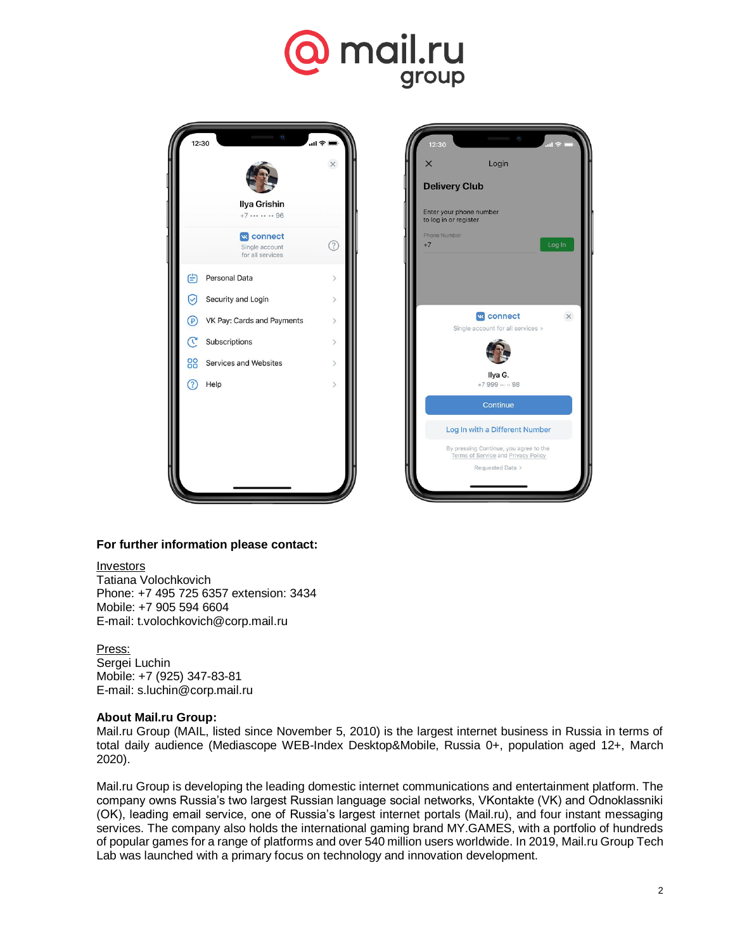# mail.ru group





### **For further information please contact:**

Investors Tatiana Volochkovich Phone: +7 495 725 6357 extension: 3434 Mobile: +7 905 594 6604 E-mail: t.volochkovich@corp.mail.ru

#### Press: Sergei Luchin Mobile: +7 (925) 347-83-81 E-mail: [s.luchin@corp.mail.ru](mailto:s.luchin@corp.mail.ru)

### **About Mail.ru Group:**

Mail.ru Group (MAIL, listed since November 5, 2010) is the largest internet business in Russia in terms of total daily audience (Mediascope WEB-Index Desktop&Mobile, Russia 0+, population aged 12+, March 2020).

Mail.ru Group is developing the leading domestic internet communications and entertainment platform. The company owns Russia's two largest Russian language social networks, VKontakte (VK) and Odnoklassniki (OK), leading email service, one of Russia's largest internet portals (Mail.ru), and four instant messaging services. The company also holds the international gaming brand MY.GAMES, with a portfolio of hundreds of popular games for a range of platforms and over 540 million users worldwide. In 2019, Mail.ru Group Tech Lab was launched with a primary focus on technology and innovation development.